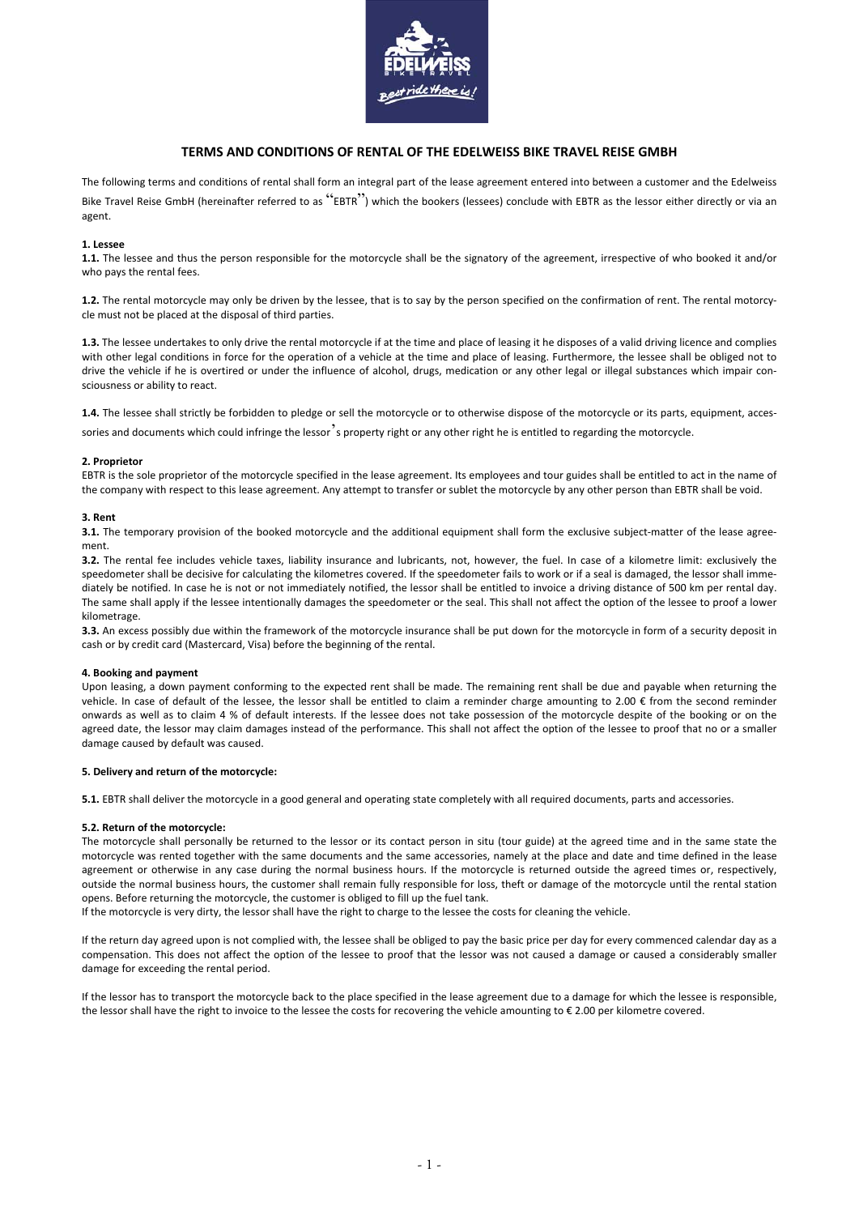

# **TERMS AND CONDITIONS OF RENTAL OF THE EDELWEISS BIKE TRAVEL REISE GMBH**

The following terms and conditions of rental shall form an integral part of the lease agreement entered into between a customer and the Edelweiss Bike Travel Reise GmbH (hereinafter referred to as "EBTR") which the bookers (lessees) conclude with EBTR as the lessor either directly or via an agent.

# **1. Lessee**

**1.1.** The lessee and thus the person responsible for the motorcycle shall be the signatory of the agreement, irrespective of who booked it and/or who pays the rental fees.

**1.2.** The rental motorcycle may only be driven by the lessee, that is to say by the person specified on the confirmation of rent. The rental motorcy‐ cle must not be placed at the disposal of third parties.

**1.3.** The lessee undertakes to only drive the rental motorcycle if at the time and place of leasing it he disposes of a valid driving licence and complies with other legal conditions in force for the operation of a vehicle at the time and place of leasing. Furthermore, the lessee shall be obliged not to drive the vehicle if he is overtired or under the influence of alcohol, drugs, medication or any other legal or illegal substances which impair consciousness or ability to react.

1.4. The lessee shall strictly be forbidden to pledge or sell the motorcycle or to otherwise dispose of the motorcycle or its parts, equipment, accessories and documents which could infringe the lessor<sup>3</sup>s property right or any other right he is entitled to regarding the motorcycle.

# **2. Proprietor**

EBTR is the sole proprietor of the motorcycle specified in the lease agreement. Its employees and tour guides shall be entitled to act in the name of the company with respect to this lease agreement. Any attempt to transfer or sublet the motorcycle by any other person than EBTR shall be void.

# **3. Rent**

**3.1.** The temporary provision of the booked motorcycle and the additional equipment shall form the exclusive subject-matter of the lease agreement.

**3.2.** The rental fee includes vehicle taxes, liability insurance and lubricants, not, however, the fuel. In case of a kilometre limit: exclusively the speedometer shall be decisive for calculating the kilometres covered. If the speedometer fails to work or if a seal is damaged, the lessor shall immediately be notified. In case he is not or not immediately notified, the lessor shall be entitled to invoice a driving distance of 500 km per rental day. The same shall apply if the lessee intentionally damages the speedometer or the seal. This shall not affect the option of the lessee to proof a lower kilometrage.

**3.3.** An excess possibly due within the framework of the motorcycle insurance shall be put down for the motorcycle in form of a security deposit in cash or by credit card (Mastercard, Visa) before the beginning of the rental.

### **4. Booking and payment**

Upon leasing, a down payment conforming to the expected rent shall be made. The remaining rent shall be due and payable when returning the vehicle. In case of default of the lessee, the lessor shall be entitled to claim a reminder charge amounting to  $2.00 \in$  from the second reminder onwards as well as to claim 4 % of default interests. If the lessee does not take possession of the motorcycle despite of the booking or on the agreed date, the lessor may claim damages instead of the performance. This shall not affect the option of the lessee to proof that no or a smaller damage caused by default was caused.

### **5. Delivery and return of the motorcycle:**

**5.1.** EBTR shall deliver the motorcycle in a good general and operating state completely with all required documents, parts and accessories.

### **5.2. Return of the motorcycle:**

The motorcycle shall personally be returned to the lessor or its contact person in situ (tour guide) at the agreed time and in the same state the motorcycle was rented together with the same documents and the same accessories, namely at the place and date and time defined in the lease agreement or otherwise in any case during the normal business hours. If the motorcycle is returned outside the agreed times or, respectively, outside the normal business hours, the customer shall remain fully responsible for loss, theft or damage of the motorcycle until the rental station opens. Before returning the motorcycle, the customer is obliged to fill up the fuel tank.

If the motorcycle is very dirty, the lessor shall have the right to charge to the lessee the costs for cleaning the vehicle.

If the return day agreed upon is not complied with, the lessee shall be obliged to pay the basic price per day for every commenced calendar day as a compensation. This does not affect the option of the lessee to proof that the lessor was not caused a damage or caused a considerably smaller damage for exceeding the rental period.

If the lessor has to transport the motorcycle back to the place specified in the lease agreement due to a damage for which the lessee is responsible, the lessor shall have the right to invoice to the lessee the costs for recovering the vehicle amounting to € 2.00 per kilometre covered.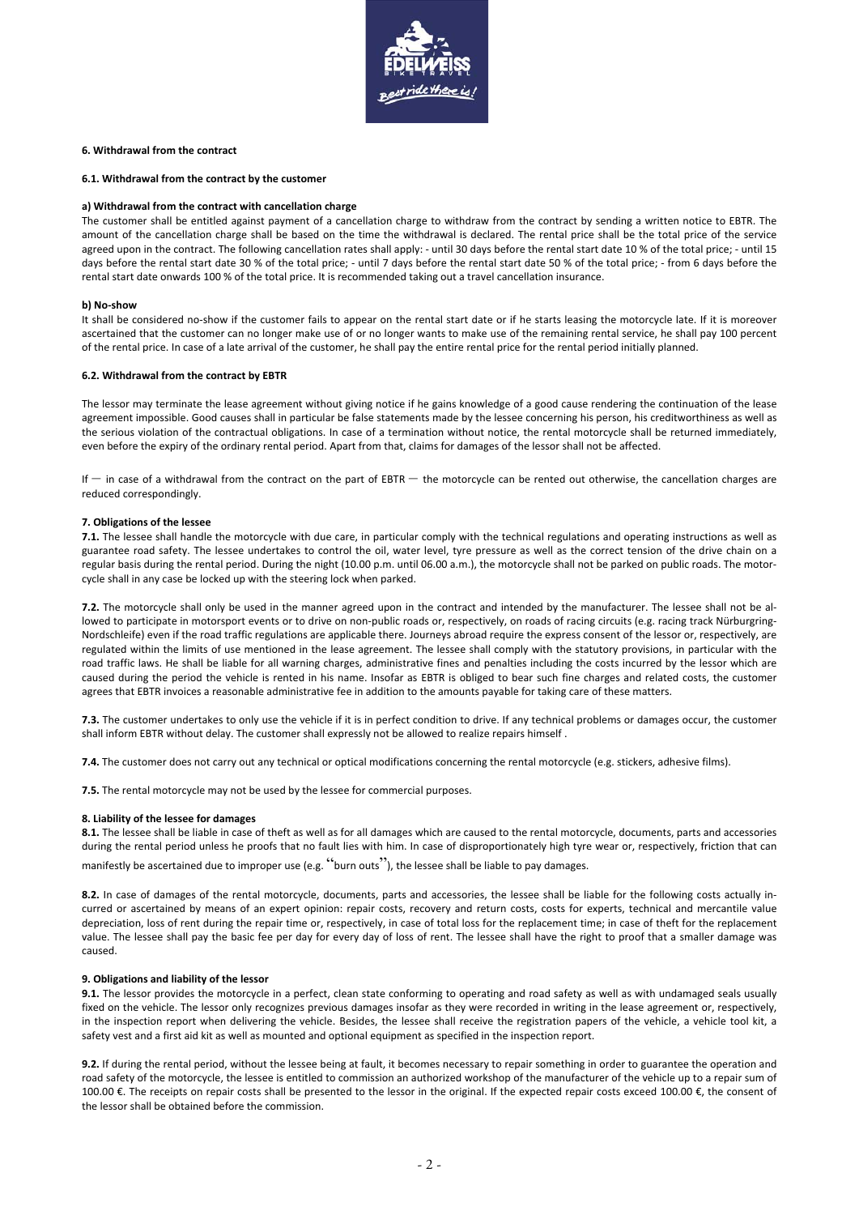

# **6. Withdrawal from the contract**

# **6.1. Withdrawal from the contract by the customer**

#### **a) Withdrawal from the contract with cancellation charge**

The customer shall be entitled against payment of a cancellation charge to withdraw from the contract by sending a written notice to EBTR. The amount of the cancellation charge shall be based on the time the withdrawal is declared. The rental price shall be the total price of the service agreed upon in the contract. The following cancellation rates shall apply: - until 30 days before the rental start date 10 % of the total price; - until 15 days before the rental start date 30 % of the total price; ‐ until 7 days before the rental start date 50 % of the total price; ‐ from 6 days before the rental start date onwards 100 % of the total price. It is recommended taking out a travel cancellation insurance.

#### **b) No‐show**

It shall be considered no-show if the customer fails to appear on the rental start date or if he starts leasing the motorcycle late. If it is moreover ascertained that the customer can no longer make use of or no longer wants to make use of the remaining rental service, he shall pay 100 percent of the rental price. In case of a late arrival of the customer, he shall pay the entire rental price for the rental period initially planned.

### **6.2. Withdrawal from the contract by EBTR**

The lessor may terminate the lease agreement without giving notice if he gains knowledge of a good cause rendering the continuation of the lease agreement impossible. Good causes shall in particular be false statements made by the lessee concerning his person, his creditworthiness as well as the serious violation of the contractual obligations. In case of a termination without notice, the rental motorcycle shall be returned immediately, even before the expiry of the ordinary rental period. Apart from that, claims for damages of the lessor shall not be affected.

If – in case of a withdrawal from the contract on the part of EBTR – the motorcycle can be rented out otherwise, the cancellation charges are reduced correspondingly.

#### **7. Obligations of the lessee**

**7.1.** The lessee shall handle the motorcycle with due care, in particular comply with the technical regulations and operating instructions as well as guarantee road safety. The lessee undertakes to control the oil, water level, tyre pressure as well as the correct tension of the drive chain on a regular basis during the rental period. During the night (10.00 p.m. until 06.00 a.m.), the motorcycle shall not be parked on public roads. The motorcycle shall in any case be locked up with the steering lock when parked.

**7.2.** The motorcycle shall only be used in the manner agreed upon in the contract and intended by the manufacturer. The lessee shall not be al‐ lowed to participate in motorsport events or to drive on non-public roads or, respectively, on roads of racing circuits (e.g. racing track Nürburgring-Nordschleife) even if the road traffic regulations are applicable there. Journeys abroad require the express consent of the lessor or, respectively, are regulated within the limits of use mentioned in the lease agreement. The lessee shall comply with the statutory provisions, in particular with the road traffic laws. He shall be liable for all warning charges, administrative fines and penalties including the costs incurred by the lessor which are caused during the period the vehicle is rented in his name. Insofar as EBTR is obliged to bear such fine charges and related costs, the customer agrees that EBTR invoices a reasonable administrative fee in addition to the amounts payable for taking care of these matters.

**7.3.** The customer undertakes to only use the vehicle if it is in perfect condition to drive. If any technical problems or damages occur, the customer shall inform EBTR without delay. The customer shall expressly not be allowed to realize repairs himself .

**7.4.** The customer does not carry out any technical or optical modifications concerning the rental motorcycle (e.g. stickers, adhesive films).

**7.5.** The rental motorcycle may not be used by the lessee for commercial purposes.

#### **8. Liability of the lessee for damages**

**8.1.** The lessee shall be liable in case of theft as well as for all damages which are caused to the rental motorcycle, documents, parts and accessories during the rental period unless he proofs that no fault lies with him. In case of disproportionately high tyre wear or, respectively, friction that can manifestly be ascertained due to improper use (e.g. "burn outs"), the lessee shall be liable to pay damages.

8.2. In case of damages of the rental motorcycle, documents, parts and accessories, the lessee shall be liable for the following costs actually incurred or ascertained by means of an expert opinion: repair costs, recovery and return costs, costs for experts, technical and mercantile value depreciation, loss of rent during the repair time or, respectively, in case of total loss for the replacement time; in case of theft for the replacement value. The lessee shall pay the basic fee per day for every day of loss of rent. The lessee shall have the right to proof that a smaller damage was caused.

# **9. Obligations and liability of the lessor**

**9.1.** The lessor provides the motorcycle in a perfect, clean state conforming to operating and road safety as well as with undamaged seals usually fixed on the vehicle. The lessor only recognizes previous damages insofar as they were recorded in writing in the lease agreement or, respectively, in the inspection report when delivering the vehicle. Besides, the lessee shall receive the registration papers of the vehicle, a vehicle tool kit, a safety vest and a first aid kit as well as mounted and optional equipment as specified in the inspection report.

**9.2.** If during the rental period, without the lessee being at fault, it becomes necessary to repair something in order to guarantee the operation and road safety of the motorcycle, the lessee is entitled to commission an authorized workshop of the manufacturer of the vehicle up to a repair sum of 100.00 €. The receipts on repair costs shall be presented to the lessor in the original. If the expected repair costs exceed 100.00 €, the consent of the lessor shall be obtained before the commission.